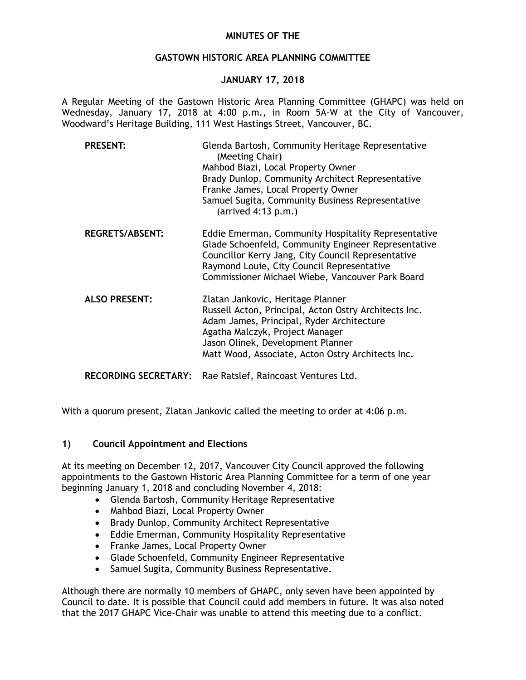## **MINUTES OF THE**

#### **GASTOWN HISTORIC AREA PLANNING COMMITTEE**

## **JANUARY 17, 2018**

A Regular Meeting of the Gastown Historic Area Planning Committee (GHAPC) was held on Wednesday, January 17, 2018 at 4:00 p.m., in Room 5A-W at the City of Vancouver, Woodward's Heritage Building, 111 West Hastings Street, Vancouver, BC.

| <b>PRESENT:</b>             | Glenda Bartosh, Community Heritage Representative<br>(Meeting Chair)<br>Mahbod Biazi, Local Property Owner<br>Brady Dunlop, Community Architect Representative<br>Franke James, Local Property Owner<br>Samuel Sugita, Community Business Representative<br>$(\text{arrived } 4:13 \text{ p.m.})$ |
|-----------------------------|---------------------------------------------------------------------------------------------------------------------------------------------------------------------------------------------------------------------------------------------------------------------------------------------------|
| <b>REGRETS/ABSENT:</b>      | Eddie Emerman, Community Hospitality Representative<br>Glade Schoenfeld, Community Engineer Representative<br>Councillor Kerry Jang, City Council Representative<br>Raymond Louie, City Council Representative<br>Commissioner Michael Wiebe, Vancouver Park Board                                |
| <b>ALSO PRESENT:</b>        | Zlatan Jankovic, Heritage Planner<br>Russell Acton, Principal, Acton Ostry Architects Inc.<br>Adam James, Principal, Ryder Architecture<br>Agatha Malczyk, Project Manager<br>Jason Olinek, Development Planner<br>Matt Wood, Associate, Acton Ostry Architects Inc.                              |
| <b>RECORDING SECRETARY:</b> | Rae Ratslef, Raincoast Ventures Ltd.                                                                                                                                                                                                                                                              |

With a quorum present, Zlatan Jankovic called the meeting to order at 4:06 p.m.

# **1) Council Appointment and Elections**

At its meeting on December 12, 2017, Vancouver City Council approved the following appointments to the Gastown Historic Area Planning Committee for a term of one year beginning January 1, 2018 and concluding November 4, 2018:

- Glenda Bartosh, Community Heritage Representative
- Mahbod Biazi, Local Property Owner
- Brady Dunlop, Community Architect Representative
- Eddie Emerman, Community Hospitality Representative
- Franke James, Local Property Owner
- Glade Schoenfeld, Community Engineer Representative
- Samuel Sugita, Community Business Representative.

Although there are normally 10 members of GHAPC, only seven have been appointed by Council to date. It is possible that Council could add members in future. It was also noted that the 2017 GHAPC Vice-Chair was unable to attend this meeting due to a conflict.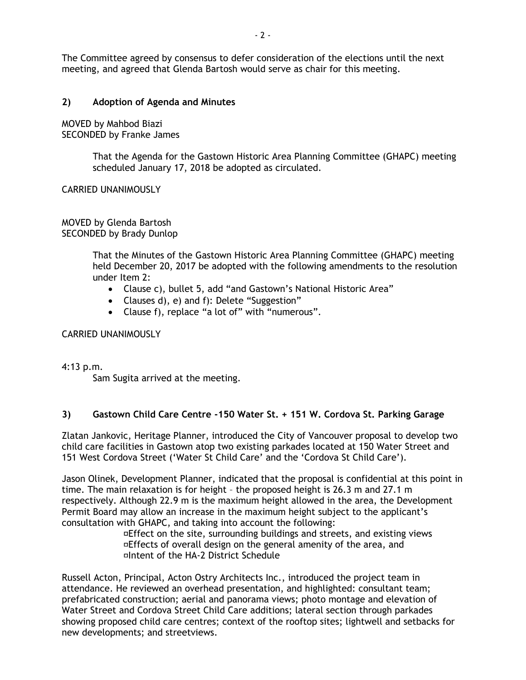The Committee agreed by consensus to defer consideration of the elections until the next meeting, and agreed that Glenda Bartosh would serve as chair for this meeting.

## **2) Adoption of Agenda and Minutes**

MOVED by Mahbod Biazi SECONDED by Franke James

> That the Agenda for the Gastown Historic Area Planning Committee (GHAPC) meeting scheduled January 17, 2018 be adopted as circulated.

CARRIED UNANIMOUSLY

MOVED by Glenda Bartosh SECONDED by Brady Dunlop

> That the Minutes of the Gastown Historic Area Planning Committee (GHAPC) meeting held December 20, 2017 be adopted with the following amendments to the resolution under Item 2:

- Clause c), bullet 5, add "and Gastown's National Historic Area"
- Clauses d), e) and f): Delete "Suggestion"
- Clause f), replace "a lot of" with "numerous".

CARRIED UNANIMOUSLY

4:13 p.m.

Sam Sugita arrived at the meeting.

# **3) Gastown Child Care Centre -150 Water St. + 151 W. Cordova St. Parking Garage**

Zlatan Jankovic, Heritage Planner, introduced the City of Vancouver proposal to develop two child care facilities in Gastown atop two existing parkades located at 150 Water Street and 151 West Cordova Street ('Water St Child Care' and the 'Cordova St Child Care').

Jason Olinek, Development Planner, indicated that the proposal is confidential at this point in time. The main relaxation is for height – the proposed height is 26.3 m and 27.1 m respectively. Although 22.9 m is the maximum height allowed in the area, the Development Permit Board may allow an increase in the maximum height subject to the applicant's consultation with GHAPC, and taking into account the following:

 Effect on the site, surrounding buildings and streets, and existing views Effects of overall design on the general amenity of the area, and Intent of the HA-2 District Schedule

Russell Acton, Principal, Acton Ostry Architects Inc., introduced the project team in attendance. He reviewed an overhead presentation, and highlighted: consultant team; prefabricated construction; aerial and panorama views; photo montage and elevation of Water Street and Cordova Street Child Care additions; lateral section through parkades showing proposed child care centres; context of the rooftop sites; lightwell and setbacks for new developments; and streetviews.